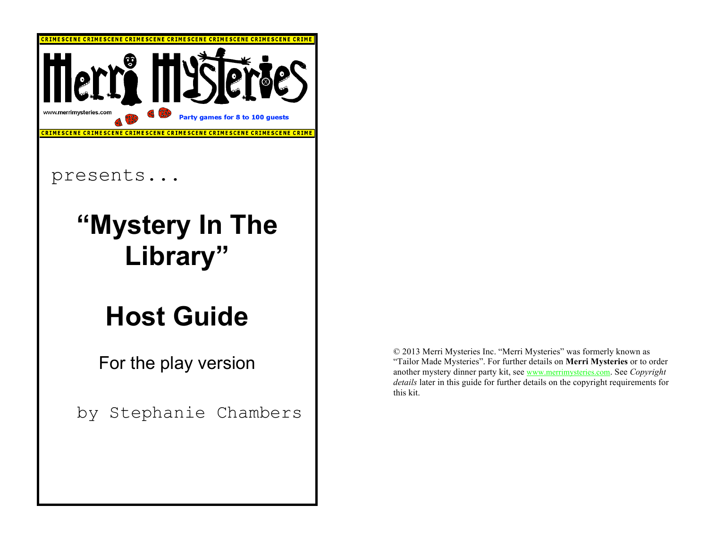

© 2013 Merri Mysteries Inc. "Merri Mysteries" was formerly known as "Tailor Made Mysteries". For further details on **Merri Mysteries** or to order another mystery dinner party kit, see www.merrimysteries.com. See *Copyright details* later in this guide for further details on the copyright requirements for this kit.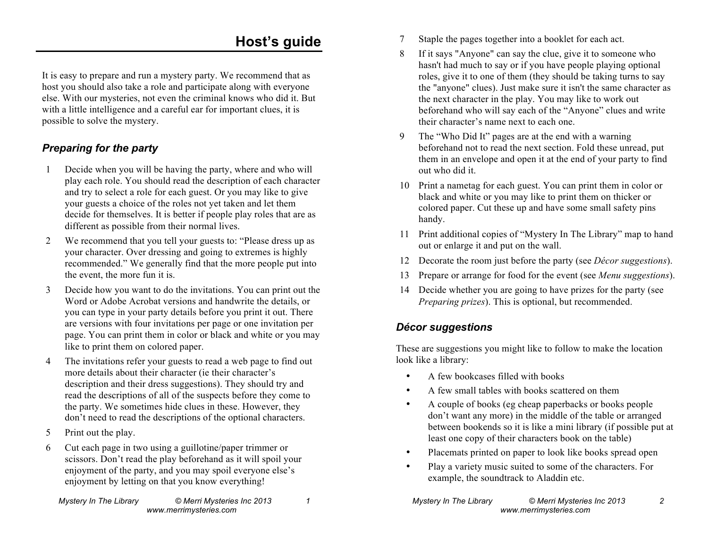### **Host's guide**

It is easy to prepare and run a mystery party. We recommend that as host you should also take a role and participate along with everyone else. With our mysteries, not even the criminal knows who did it. But with a little intelligence and a careful ear for important clues, it is possible to solve the mystery.

#### *Preparing for the party*

- 1 Decide when you will be having the party, where and who will play each role. You should read the description of each character and try to select a role for each guest. Or you may like to give your guests a choice of the roles not yet taken and let them decide for themselves. It is better if people play roles that are as different as possible from their normal lives.
- 2 We recommend that you tell your guests to: "Please dress up as your character. Over dressing and going to extremes is highly recommended." We generally find that the more people put into the event, the more fun it is.
- 3 Decide how you want to do the invitations. You can print out the Word or Adobe Acrobat versions and handwrite the details, or you can type in your party details before you print it out. There are versions with four invitations per page or one invitation per page. You can print them in color or black and white or you may like to print them on colored paper.
- 4 The invitations refer your guests to read a web page to find out more details about their character (ie their character's description and their dress suggestions). They should try and read the descriptions of all of the suspects before they come to the party. We sometimes hide clues in these. However, they don't need to read the descriptions of the optional characters.
- 5 Print out the play.
- 6 Cut each page in two using a guillotine/paper trimmer or scissors. Don't read the play beforehand as it will spoil your enjoyment of the party, and you may spoil everyone else's enjoyment by letting on that you know everything!
- 7 Staple the pages together into a booklet for each act.
- 8 If it says "Anyone" can say the clue, give it to someone who hasn't had much to say or if you have people playing optional roles, give it to one of them (they should be taking turns to say the "anyone" clues). Just make sure it isn't the same character as the next character in the play. You may like to work out beforehand who will say each of the "Anyone" clues and write their character's name next to each one.
- 9 The "Who Did It" pages are at the end with a warning beforehand not to read the next section. Fold these unread, put them in an envelope and open it at the end of your party to find out who did it.
- 10 Print a nametag for each guest. You can print them in color or black and white or you may like to print them on thicker or colored paper. Cut these up and have some small safety pins handy.
- 11 Print additional copies of "Mystery In The Library" map to hand out or enlarge it and put on the wall.
- 12 Decorate the room just before the party (see *Décor suggestions*).
- 13 Prepare or arrange for food for the event (see *Menu suggestions*).
- 14 Decide whether you are going to have prizes for the party (see *Preparing prizes*). This is optional, but recommended.

#### *Décor suggestions*

These are suggestions you might like to follow to make the location look like a library:

- A few bookcases filled with books
- A few small tables with books scattered on them
- A couple of books (eg cheap paperbacks or books people don't want any more) in the middle of the table or arranged between bookends so it is like a mini library (if possible put at least one copy of their characters book on the table)
- Placemats printed on paper to look like books spread open
- Play a variety music suited to some of the characters. For example, the soundtrack to Aladdin etc.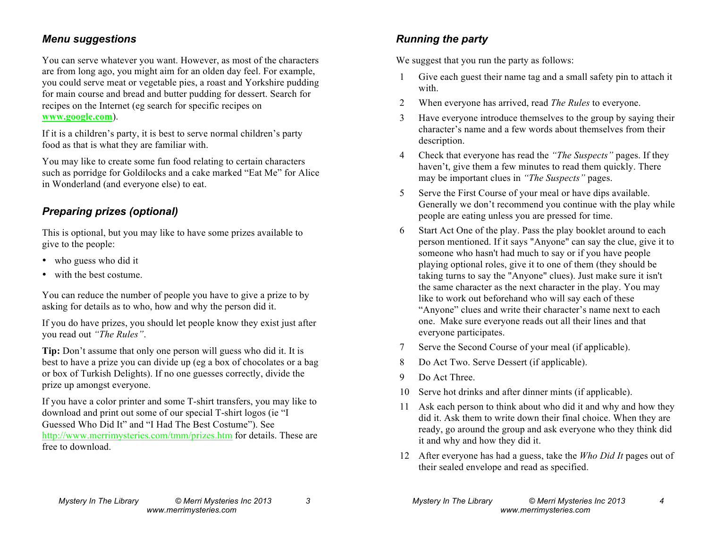#### *Menu suggestions*

You can serve whatever you want. However, as most of the characters are from long ago, you might aim for an olden day feel. For example, you could serve meat or vegetable pies, a roast and Yorkshire pudding for main course and bread and butter pudding for dessert. Search for recipes on the Internet (eg search for specific recipes on **www.google.com**).

If it is a children's party, it is best to serve normal children's party food as that is what they are familiar with.

You may like to create some fun food relating to certain characters such as porridge for Goldilocks and a cake marked "Eat Me" for Alice in Wonderland (and everyone else) to eat.

#### *Preparing prizes (optional)*

This is optional, but you may like to have some prizes available to give to the people:

- who guess who did it
- with the best costume.

You can reduce the number of people you have to give a prize to by asking for details as to who, how and why the person did it.

If you do have prizes, you should let people know they exist just after you read out *"The Rules"*.

**Tip:** Don't assume that only one person will guess who did it. It is best to have a prize you can divide up (eg a box of chocolates or a bag or box of Turkish Delights). If no one guesses correctly, divide the prize up amongst everyone.

If you have a color printer and some T-shirt transfers, you may like to download and print out some of our special T-shirt logos (ie "I Guessed Who Did It" and "I Had The Best Costume"). See http://www.merrimysteries.com/tmm/prizes.htm for details. These are free to download.

We suggest that you run the party as follows:

- 1 Give each guest their name tag and a small safety pin to attach it with.
- 2 When everyone has arrived, read *The Rules* to everyone.
- 3 Have everyone introduce themselves to the group by saying their character's name and a few words about themselves from their description.
- 4 Check that everyone has read the *"The Suspects"* pages. If they haven't, give them a few minutes to read them quickly. There may be important clues in *"The Suspects"* pages.
- 5 Serve the First Course of your meal or have dips available. Generally we don't recommend you continue with the play while people are eating unless you are pressed for time.
- 6 Start Act One of the play. Pass the play booklet around to each person mentioned. If it says "Anyone" can say the clue, give it to someone who hasn't had much to say or if you have people playing optional roles, give it to one of them (they should be taking turns to say the "Anyone" clues). Just make sure it isn't the same character as the next character in the play. You may like to work out beforehand who will say each of these "Anyone" clues and write their character's name next to each one.Make sure everyone reads out all their lines and that everyone participates.
- 7 Serve the Second Course of your meal (if applicable).
- 8 Do Act Two. Serve Dessert (if applicable).
- 9 Do Act Three.
- 10 Serve hot drinks and after dinner mints (if applicable).
- 11 Ask each person to think about who did it and why and how they did it. Ask them to write down their final choice. When they are ready, go around the group and ask everyone who they think did it and why and how they did it.
- 12 After everyone has had a guess, take the *Who Did It* pages out of their sealed envelope and read as specified.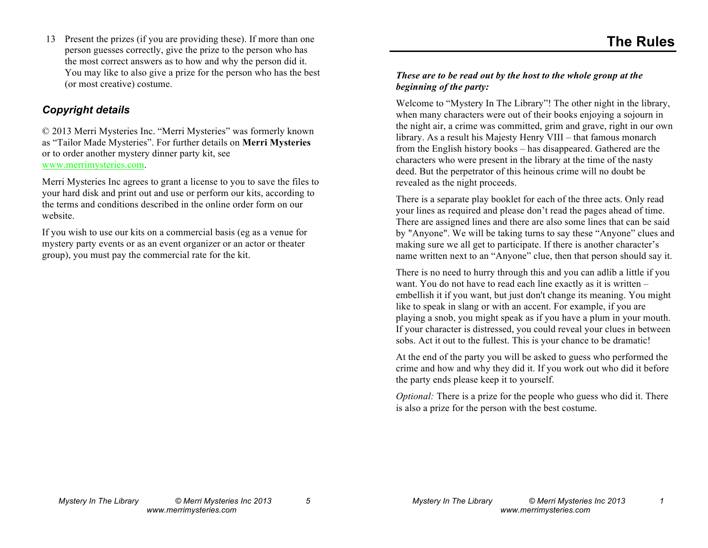13 Present the prizes (if you are providing these). If more than one person guesses correctly, give the prize to the person who has the most correct answers as to how and why the person did it. You may like to also give a prize for the person who has the best (or most creative) costume.

#### *Copyright details*

© 2013 Merri Mysteries Inc. "Merri Mysteries" was formerly known as "Tailor Made Mysteries". For further details on **Merri Mysteries** or to order another mystery dinner party kit, see www.merrimysteries.com.

Merri Mysteries Inc agrees to grant a license to you to save the files to your hard disk and print out and use or perform our kits, according to the terms and conditions described in the online order form on our website.

If you wish to use our kits on a commercial basis (eg as a venue for mystery party events or as an event organizer or an actor or theater group), you must pay the commercial rate for the kit.

#### *These are to be read out by the host to the whole group at the beginning of the party:*

Welcome to "Mystery In The Library"! The other night in the library, when many characters were out of their books enjoying a sojourn in the night air, a crime was committed, grim and grave, right in our own library. As a result his Majesty Henry VIII – that famous monarch from the English history books – has disappeared. Gathered are the characters who were present in the library at the time of the nasty deed. But the perpetrator of this heinous crime will no doubt be revealed as the night proceeds.

There is a separate play booklet for each of the three acts. Only read your lines as required and please don't read the pages ahead of time. There are assigned lines and there are also some lines that can be said by "Anyone". We will be taking turns to say these "Anyone" clues and making sure we all get to participate. If there is another character's name written next to an "Anyone" clue, then that person should say it.

There is no need to hurry through this and you can adlib a little if you want. You do not have to read each line exactly as it is written – embellish it if you want, but just don't change its meaning. You might like to speak in slang or with an accent. For example, if you are playing a snob, you might speak as if you have a plum in your mouth. If your character is distressed, you could reveal your clues in between sobs. Act it out to the fullest. This is your chance to be dramatic!

At the end of the party you will be asked to guess who performed the crime and how and why they did it. If you work out who did it before the party ends please keep it to yourself.

*Optional:* There is a prize for the people who guess who did it. There is also a prize for the person with the best costume.